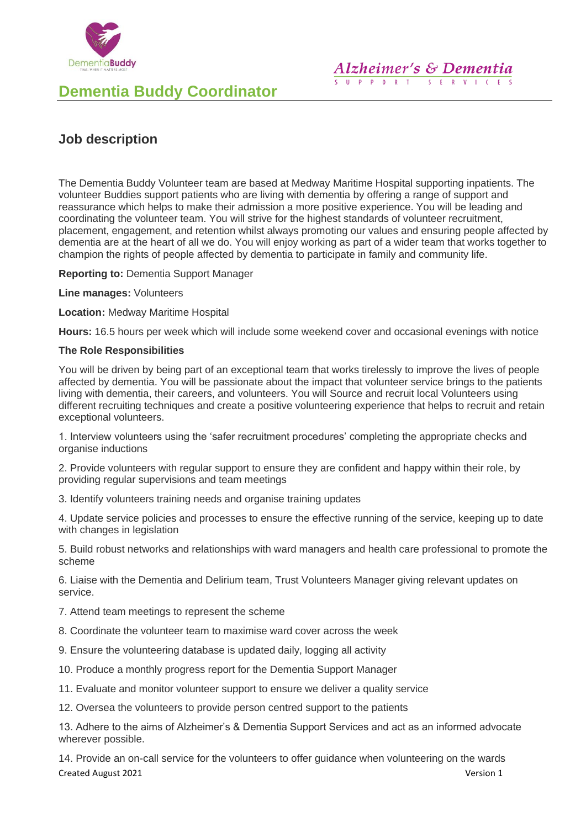

# **Dementia Buddy Coordinator**

## **Job description**

The Dementia Buddy Volunteer team are based at Medway Maritime Hospital supporting inpatients. The volunteer Buddies support patients who are living with dementia by offering a range of support and reassurance which helps to make their admission a more positive experience. You will be leading and coordinating the volunteer team. You will strive for the highest standards of volunteer recruitment, placement, engagement, and retention whilst always promoting our values and ensuring people affected by dementia are at the heart of all we do. You will enjoy working as part of a wider team that works together to champion the rights of people affected by dementia to participate in family and community life.

**Reporting to:** Dementia Support Manager

**Line manages:** Volunteers

**Location:** Medway Maritime Hospital

**Hours:** 16.5 hours per week which will include some weekend cover and occasional evenings with notice

## **The Role Responsibilities**

You will be driven by being part of an exceptional team that works tirelessly to improve the lives of people affected by dementia. You will be passionate about the impact that volunteer service brings to the patients living with dementia, their careers, and volunteers. You will Source and recruit local Volunteers using different recruiting techniques and create a positive volunteering experience that helps to recruit and retain exceptional volunteers.

1. Interview volunteers using the 'safer recruitment procedures' completing the appropriate checks and organise inductions

2. Provide volunteers with regular support to ensure they are confident and happy within their role, by providing regular supervisions and team meetings

3. Identify volunteers training needs and organise training updates

4. Update service policies and processes to ensure the effective running of the service, keeping up to date with changes in legislation

5. Build robust networks and relationships with ward managers and health care professional to promote the scheme

6. Liaise with the Dementia and Delirium team, Trust Volunteers Manager giving relevant updates on service.

- 7. Attend team meetings to represent the scheme
- 8. Coordinate the volunteer team to maximise ward cover across the week
- 9. Ensure the volunteering database is updated daily, logging all activity
- 10. Produce a monthly progress report for the Dementia Support Manager
- 11. Evaluate and monitor volunteer support to ensure we deliver a quality service
- 12. Oversea the volunteers to provide person centred support to the patients

13. Adhere to the aims of Alzheimer's & Dementia Support Services and act as an informed advocate wherever possible.

Created August 2021 Version 1 14. Provide an on-call service for the volunteers to offer guidance when volunteering on the wards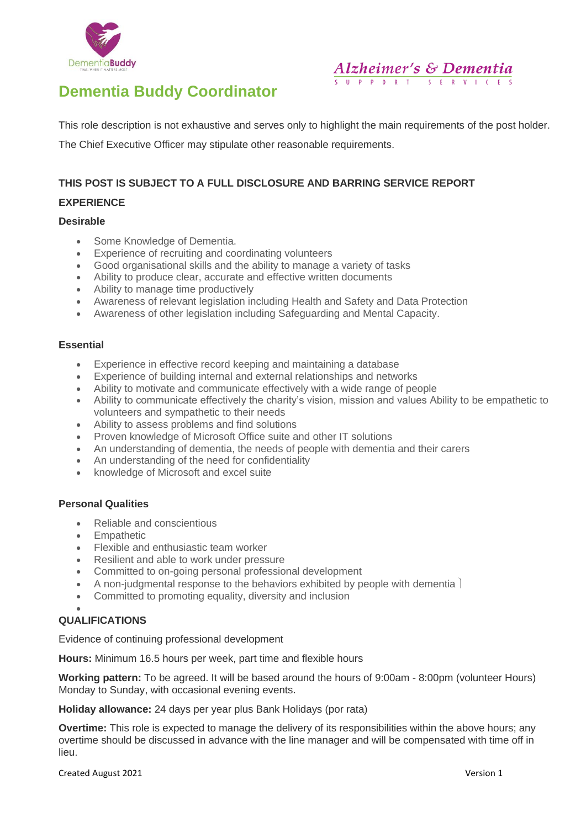



**Alzheimer's & Dementia** SUPPORT SERVICES

This role description is not exhaustive and serves only to highlight the main requirements of the post holder.

The Chief Executive Officer may stipulate other reasonable requirements.

## **THIS POST IS SUBJECT TO A FULL DISCLOSURE AND BARRING SERVICE REPORT**

## **EXPERIENCE**

## **Desirable**

- Some Knowledge of Dementia.
- Experience of recruiting and coordinating volunteers
- Good organisational skills and the ability to manage a variety of tasks
- Ability to produce clear, accurate and effective written documents
- Ability to manage time productively
- Awareness of relevant legislation including Health and Safety and Data Protection
- Awareness of other legislation including Safeguarding and Mental Capacity.

#### **Essential**

- Experience in effective record keeping and maintaining a database
- Experience of building internal and external relationships and networks
- Ability to motivate and communicate effectively with a wide range of people
- Ability to communicate effectively the charity's vision, mission and values Ability to be empathetic to volunteers and sympathetic to their needs
- Ability to assess problems and find solutions
- Proven knowledge of Microsoft Office suite and other IT solutions
- An understanding of dementia, the needs of people with dementia and their carers
- An understanding of the need for confidentiality
- knowledge of Microsoft and excel suite

## **Personal Qualities**

- Reliable and conscientious
- **Empathetic**
- Flexible and enthusiastic team worker
- Resilient and able to work under pressure
- Committed to on-going personal professional development
- A non-judgmental response to the behaviors exhibited by people with dementia
- Committed to promoting equality, diversity and inclusion

#### • **QUALIFICATIONS**

Evidence of continuing professional development

**Hours:** Minimum 16.5 hours per week, part time and flexible hours

**Working pattern:** To be agreed. It will be based around the hours of 9:00am - 8:00pm (volunteer Hours) Monday to Sunday, with occasional evening events.

**Holiday allowance:** 24 days per year plus Bank Holidays (por rata)

**Overtime:** This role is expected to manage the delivery of its responsibilities within the above hours; any overtime should be discussed in advance with the line manager and will be compensated with time off in lieu.